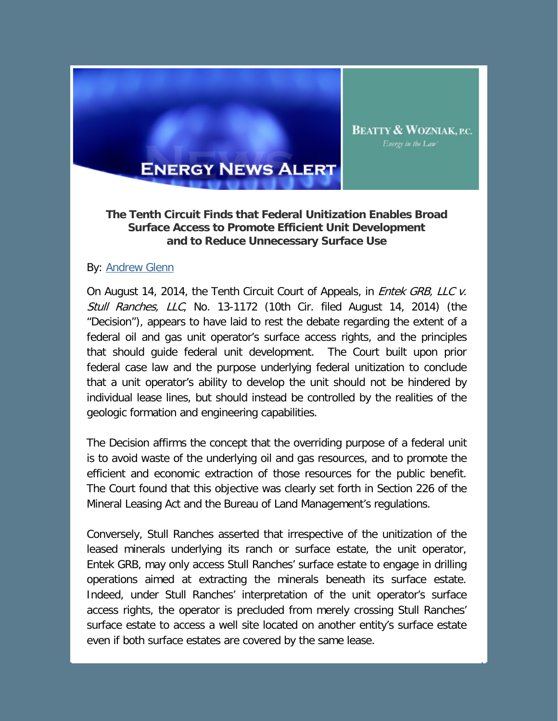

## **The Tenth Circuit Finds that Federal Unitization Enables Broad Surface Access to Promote Efficient Unit Development and to Reduce Unnecessary Surface Use**

**BEATTY & WOZNIAK, P.C.** Energy in the Law'

## By: [Andrew Glenn](http://www.bwenergylaw.com/Attorneys/AGlenn.asp)

On August 14, 2014, the Tenth Circuit Court of Appeals, in *Entek GRB, LLC v.* Stull Ranches, LLC, No. 13-1172 (10th Cir. filed August 14, 2014) (the "Decision"), appears to have laid to rest the debate regarding the extent of a federal oil and gas unit operator's surface access rights, and the principles that should guide federal unit development. The Court built upon prior federal case law and the purpose underlying federal unitization to conclude that a unit operator's ability to develop the unit should not be hindered by individual lease lines, but should instead be controlled by the realities of the geologic formation and engineering capabilities.

The Decision affirms the concept that the overriding purpose of a federal unit is to avoid waste of the underlying oil and gas resources, and to promote the efficient and economic extraction of those resources for the public benefit. The Court found that this objective was clearly set forth in Section 226 of the Mineral Leasing Act and the Bureau of Land Management's regulations.

Conversely, Stull Ranches asserted that irrespective of the unitization of the leased minerals underlying its ranch or surface estate, the unit operator, Entek GRB, may only access Stull Ranches' surface estate to engage in drilling operations aimed at extracting the minerals beneath its surface estate. Indeed, under Stull Ranches' interpretation of the unit operator's surface access rights, the operator is precluded from merely crossing Stull Ranches' surface estate to access a well site located on another entity's surface estate even if both surface estates are covered by the same lease.